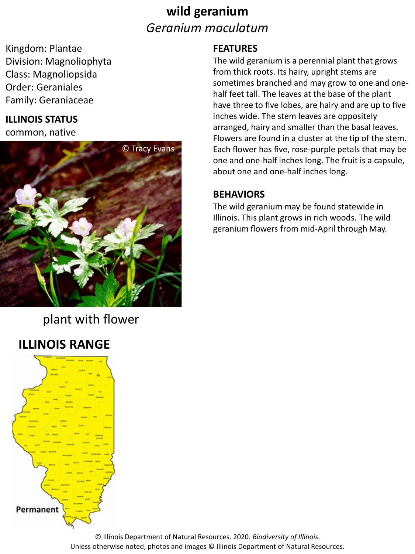### **wild geranium** *Geranium maculatum*

Kingdom: Plantae Division: Magnoliophyta Class: Magnoliopsida Order: Geraniales Family: Geraniaceae

#### **ILLINOIS STATUS**

common, native



### plant with flower

### **ILLINOIS RANGE**



#### **FEATURES**

The wild geranium is a perennial plant that grows from thick roots. Its hairy, upright stems are sometimes branched and may grow to one and onehalf feet tall. The leaves at the base of the plant have three to five lobes, are hairy and are up to five inches wide. The stem leaves are oppositely arranged, hairy and smaller than the basal leaves. Flowers are found in a cluster at the tip of the stem. Each flower has five, rose-purple petals that may be one and one-half inches long. The fruit is a capsule, about one and one-half inches long.

#### **BEHAVIORS**

The wild geranium may be found statewide in Illinois. This plant grows in rich woods. The wild geranium flowers from mid-April through May.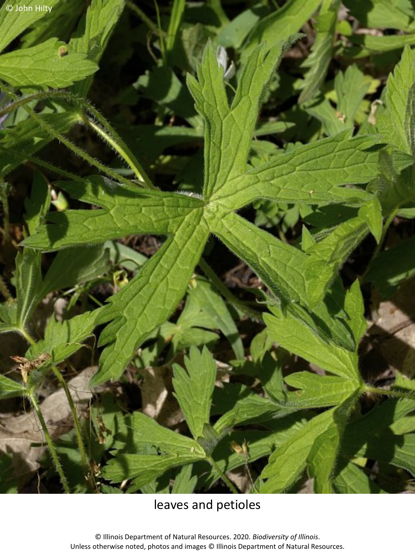© John Hilty

## leaves and petioles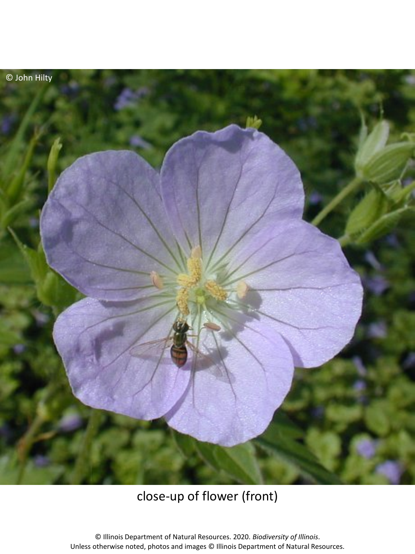

## close-up of flower (front)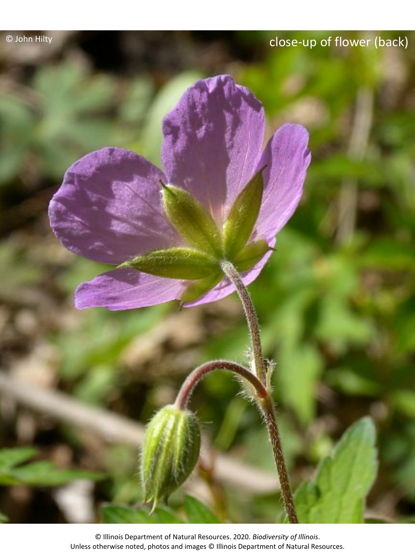# © John Hilty close-up of flower (back)